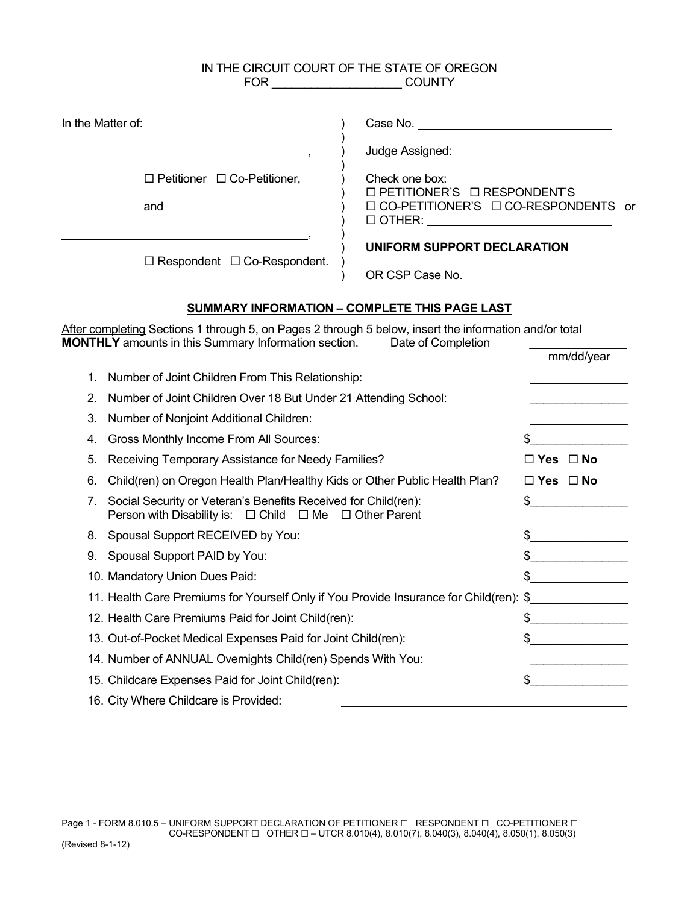# IN THE CIRCUIT COURT OF THE STATE OF OREGON FOR \_\_\_\_\_\_\_\_\_\_\_\_\_\_\_\_\_\_\_\_ COUNTY

| In the Matter of:                                                                                                                                                     |                                                                                                                                                                                     |                      |
|-----------------------------------------------------------------------------------------------------------------------------------------------------------------------|-------------------------------------------------------------------------------------------------------------------------------------------------------------------------------------|----------------------|
|                                                                                                                                                                       |                                                                                                                                                                                     |                      |
| $\Box$ Petitioner $\Box$ Co-Petitioner,<br>and                                                                                                                        | Check one box:<br>□ PETITIONER'S □ RESPONDENT'S<br>□ CO-PETITIONER'S □ CO-RESPONDENTS or<br>$\begin{tabular}{ c c c } \hline $\fbox{O} \hspace*{2pt} \textsf{DTHER:} \end{tabular}$ |                      |
| UNIFORM SUPPORT DECLARATION<br>$\Box$ Respondent $\Box$ Co-Respondent.                                                                                                |                                                                                                                                                                                     |                      |
|                                                                                                                                                                       | SUMMARY INFORMATION - COMPLETE THIS PAGE LAST                                                                                                                                       |                      |
| After completing Sections 1 through 5, on Pages 2 through 5 below, insert the information and/or total<br><b>MONTHLY</b> amounts in this Summary Information section. | Date of Completion                                                                                                                                                                  |                      |
| Number of Joint Children From This Relationship:<br>1.<br>2.<br>Number of Joint Children Over 18 But Under 21 Attending School:                                       |                                                                                                                                                                                     | mm/dd/year           |
| 3.<br>Number of Nonjoint Additional Children:                                                                                                                         |                                                                                                                                                                                     |                      |
| Gross Monthly Income From All Sources:<br>4.                                                                                                                          |                                                                                                                                                                                     | \$                   |
| Receiving Temporary Assistance for Needy Families?<br>5.                                                                                                              |                                                                                                                                                                                     | $\Box$ Yes $\Box$ No |
| Child(ren) on Oregon Health Plan/Healthy Kids or Other Public Health Plan?<br>6.                                                                                      |                                                                                                                                                                                     | $\Box$ Yes $\Box$ No |
| Social Security or Veteran's Benefits Received for Child(ren):<br>7.<br>Person with Disability is: $\Box$ Child $\Box$ Me $\Box$ Other Parent                         |                                                                                                                                                                                     | $\frac{1}{2}$        |
| Spousal Support RECEIVED by You:<br>8.                                                                                                                                |                                                                                                                                                                                     | $\frac{1}{2}$        |
| Spousal Support PAID by You:<br>9.                                                                                                                                    |                                                                                                                                                                                     | $\frac{1}{2}$        |
| 10. Mandatory Union Dues Paid:                                                                                                                                        |                                                                                                                                                                                     | $\frac{1}{2}$        |
| 11. Health Care Premiums for Yourself Only if You Provide Insurance for Child(ren): \$                                                                                |                                                                                                                                                                                     |                      |
| 12. Health Care Premiums Paid for Joint Child(ren):                                                                                                                   |                                                                                                                                                                                     | $\frac{1}{2}$        |
| 13. Out-of-Pocket Medical Expenses Paid for Joint Child(ren):                                                                                                         |                                                                                                                                                                                     | $\frac{1}{2}$        |
| 14. Number of ANNUAL Overnights Child(ren) Spends With You:                                                                                                           |                                                                                                                                                                                     | .                    |
| 15. Childcare Expenses Paid for Joint Child(ren):                                                                                                                     |                                                                                                                                                                                     | \$                   |
| 16. City Where Childcare is Provided:                                                                                                                                 |                                                                                                                                                                                     |                      |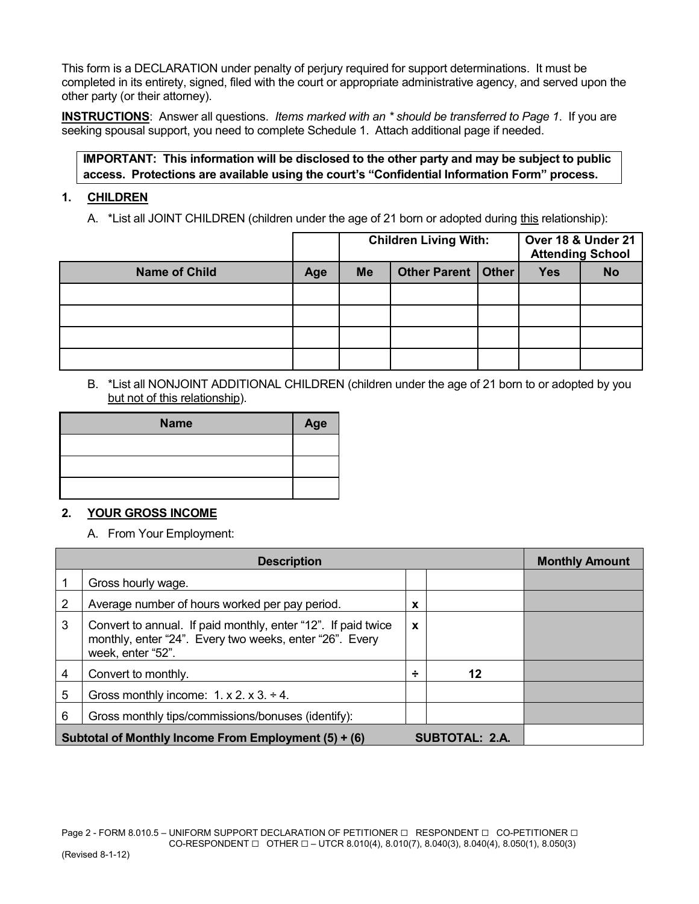This form is a DECLARATION under penalty of perjury required for support determinations. It must be completed in its entirety, signed, filed with the court or appropriate administrative agency, and served upon the other party (or their attorney).

**INSTRUCTIONS**: Answer all questions. *Items marked with an \* should be transferred to Page 1*. If you are seeking spousal support, you need to complete Schedule 1. Attach additional page if needed.

# **IMPORTANT: This information will be disclosed to the other party and may be subject to public access. Protections are available using the court's "Confidential Information Form" process.**

## **1. CHILDREN**

A. \*List all JOINT CHILDREN (children under the age of 21 born or adopted during this relationship):

|                      |     | <b>Children Living With:</b> |                      |  | Over 18 & Under 21<br><b>Attending School</b> |           |
|----------------------|-----|------------------------------|----------------------|--|-----------------------------------------------|-----------|
| <b>Name of Child</b> | Age | <b>Me</b>                    | Other Parent   Other |  | <b>Yes</b>                                    | <b>No</b> |
|                      |     |                              |                      |  |                                               |           |
|                      |     |                              |                      |  |                                               |           |
|                      |     |                              |                      |  |                                               |           |
|                      |     |                              |                      |  |                                               |           |

B. \*List all NONJOINT ADDITIONAL CHILDREN (children under the age of 21 born to or adopted by you but not of this relationship).

| <b>Name</b> | Age |
|-------------|-----|
|             |     |
|             |     |
|             |     |

# **2. YOUR GROSS INCOME**

A. From Your Employment:

|                                                                               | <b>Description</b>                                                                                                                            | <b>Monthly Amount</b> |    |  |
|-------------------------------------------------------------------------------|-----------------------------------------------------------------------------------------------------------------------------------------------|-----------------------|----|--|
|                                                                               | Gross hourly wage.                                                                                                                            |                       |    |  |
|                                                                               | Average number of hours worked per pay period.                                                                                                | X                     |    |  |
| 3                                                                             | Convert to annual. If paid monthly, enter "12". If paid twice<br>monthly, enter "24". Every two weeks, enter "26". Every<br>week, enter "52". | $\mathbf{x}$          |    |  |
| 4                                                                             | Convert to monthly.                                                                                                                           |                       | 12 |  |
| 5                                                                             | Gross monthly income: $1. x 2. x 3. \div 4.$                                                                                                  |                       |    |  |
| 6                                                                             | Gross monthly tips/commissions/bonuses (identify):                                                                                            |                       |    |  |
| Subtotal of Monthly Income From Employment (5) + (6)<br><b>SUBTOTAL: 2.A.</b> |                                                                                                                                               |                       |    |  |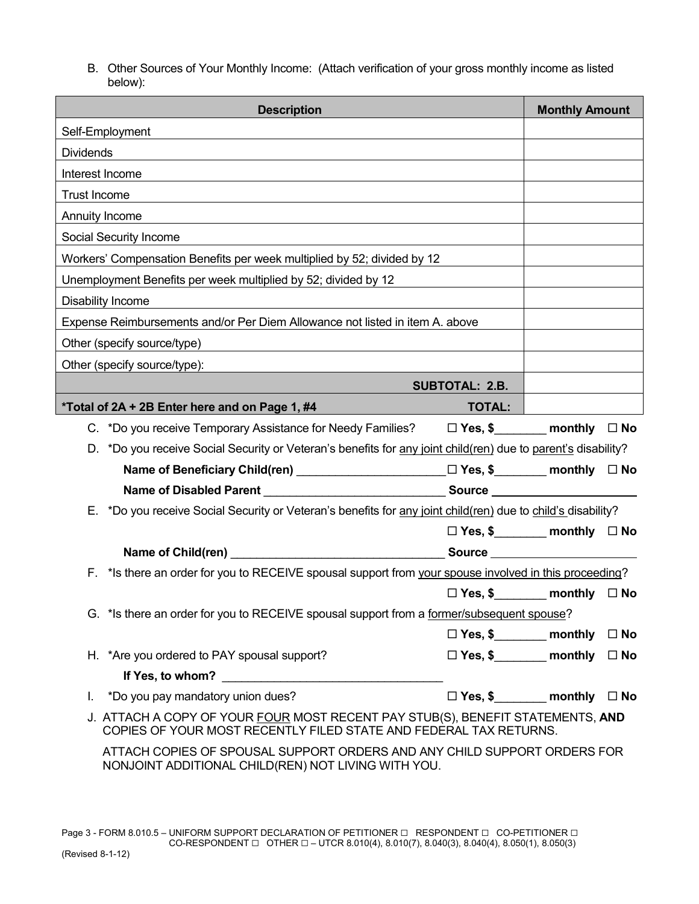B. Other Sources of Your Monthly Income: (Attach verification of your gross monthly income as listed below):

| <b>Description</b>                                                                                                                                  |                           | <b>Monthly Amount</b>                            |              |
|-----------------------------------------------------------------------------------------------------------------------------------------------------|---------------------------|--------------------------------------------------|--------------|
| Self-Employment                                                                                                                                     |                           |                                                  |              |
| <b>Dividends</b>                                                                                                                                    |                           |                                                  |              |
| Interest Income                                                                                                                                     |                           |                                                  |              |
| Trust Income                                                                                                                                        |                           |                                                  |              |
| Annuity Income                                                                                                                                      |                           |                                                  |              |
| Social Security Income                                                                                                                              |                           |                                                  |              |
| Workers' Compensation Benefits per week multiplied by 52; divided by 12                                                                             |                           |                                                  |              |
| Unemployment Benefits per week multiplied by 52; divided by 12                                                                                      |                           |                                                  |              |
| Disability Income                                                                                                                                   |                           |                                                  |              |
| Expense Reimbursements and/or Per Diem Allowance not listed in item A. above                                                                        |                           |                                                  |              |
| Other (specify source/type)                                                                                                                         |                           |                                                  |              |
| Other (specify source/type):                                                                                                                        |                           |                                                  |              |
|                                                                                                                                                     | <b>SUBTOTAL: 2.B.</b>     |                                                  |              |
| <b>TOTAL:</b><br>*Total of 2A + 2B Enter here and on Page 1, #4                                                                                     |                           |                                                  |              |
| C. *Do you receive Temporary Assistance for Needy Families? $\Box$ Yes, \$ monthly $\Box$ No                                                        |                           |                                                  |              |
| D. *Do you receive Social Security or Veteran's benefits for any joint child(ren) due to parent's disability?                                       |                           |                                                  |              |
| Name of Beneficiary Child(ren) ________________________ □ Yes, \$________ monthly □ No                                                              |                           |                                                  |              |
| Name of Disabled Parent ___________________________________Source __________________________________                                                |                           |                                                  |              |
| *Do you receive Social Security or Veteran's benefits for any joint child(ren) due to child's disability?<br>Е.                                     |                           |                                                  |              |
|                                                                                                                                                     |                           | $\square$ Yes, \$__________ monthly $\square$ No |              |
|                                                                                                                                                     |                           |                                                  |              |
| F. * Is there an order for you to RECEIVE spousal support from your spouse involved in this proceeding?                                             |                           |                                                  |              |
|                                                                                                                                                     |                           | $\Box$ Yes, \$__________ monthly $\Box$ No       |              |
| G. *Is there an order for you to RECEIVE spousal support from a former/subsequent spouse?                                                           |                           |                                                  |              |
|                                                                                                                                                     | □ Yes, \$________ monthly |                                                  | $\square$ No |
| H. *Are you ordered to PAY spousal support?                                                                                                         | □ Yes, \$________ monthly |                                                  | $\square$ No |
|                                                                                                                                                     |                           |                                                  |              |
| *Do you pay mandatory union dues?<br>L.                                                                                                             | □ Yes, \$_______ monthly  |                                                  | $\square$ No |
| J. ATTACH A COPY OF YOUR FOUR MOST RECENT PAY STUB(S), BENEFIT STATEMENTS, AND<br>COPIES OF YOUR MOST RECENTLY FILED STATE AND FEDERAL TAX RETURNS. |                           |                                                  |              |
| ATTACH COPIES OF SPOUSAL SUPPORT ORDERS AND ANY CHILD SUPPORT ORDERS FOR<br>NONJOINT ADDITIONAL CHILD(REN) NOT LIVING WITH YOU.                     |                           |                                                  |              |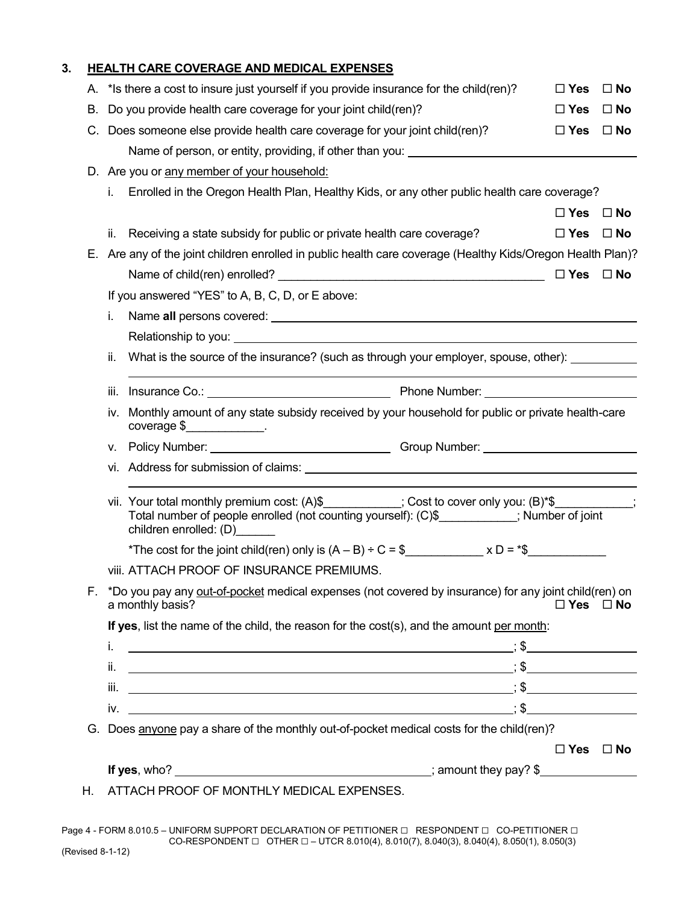## **3. HEALTH CARE COVERAGE AND MEDICAL EXPENSES**

|    | A. * Is there a cost to insure just yourself if you provide insurance for the child(ren)?                                                                                                                                                                                                                                                                                                                                                             | $\Box$ Yes           | $\square$ No |
|----|-------------------------------------------------------------------------------------------------------------------------------------------------------------------------------------------------------------------------------------------------------------------------------------------------------------------------------------------------------------------------------------------------------------------------------------------------------|----------------------|--------------|
| В. | Do you provide health care coverage for your joint child(ren)?                                                                                                                                                                                                                                                                                                                                                                                        | $\Box$ Yes           | $\square$ No |
|    | C. Does someone else provide health care coverage for your joint child(ren)?                                                                                                                                                                                                                                                                                                                                                                          | $\square$ Yes        | $\square$ No |
|    | Name of person, or entity, providing, if other than you: ________________________                                                                                                                                                                                                                                                                                                                                                                     |                      |              |
|    | D. Are you or any member of your household:                                                                                                                                                                                                                                                                                                                                                                                                           |                      |              |
|    | Enrolled in the Oregon Health Plan, Healthy Kids, or any other public health care coverage?<br>i.                                                                                                                                                                                                                                                                                                                                                     |                      |              |
|    |                                                                                                                                                                                                                                                                                                                                                                                                                                                       | $\square$ Yes        | $\square$ No |
|    | Receiving a state subsidy for public or private health care coverage?<br>ii.                                                                                                                                                                                                                                                                                                                                                                          | $\Box$ Yes           | $\square$ No |
| Е. | Are any of the joint children enrolled in public health care coverage (Healthy Kids/Oregon Health Plan)?                                                                                                                                                                                                                                                                                                                                              |                      |              |
|    |                                                                                                                                                                                                                                                                                                                                                                                                                                                       | $\Box$ Yes           | $\square$ No |
|    | If you answered "YES" to A, B, C, D, or E above:                                                                                                                                                                                                                                                                                                                                                                                                      |                      |              |
|    | i.                                                                                                                                                                                                                                                                                                                                                                                                                                                    |                      |              |
|    |                                                                                                                                                                                                                                                                                                                                                                                                                                                       |                      |              |
|    | ii.<br>What is the source of the insurance? (such as through your employer, spouse, other):                                                                                                                                                                                                                                                                                                                                                           |                      |              |
|    | iii.                                                                                                                                                                                                                                                                                                                                                                                                                                                  |                      |              |
|    | Monthly amount of any state subsidy received by your household for public or private health-care<br>iv.<br>coverage $\frac{1}{2}$                                                                                                                                                                                                                                                                                                                     |                      |              |
|    | V.                                                                                                                                                                                                                                                                                                                                                                                                                                                    |                      |              |
|    |                                                                                                                                                                                                                                                                                                                                                                                                                                                       |                      |              |
|    | vii. Your total monthly premium cost: (A)\$___________; Cost to cover only you: (B)*\$__________;<br>Total number of people enrolled (not counting yourself): (C)\$__________; Number of joint<br>children enrolled: (D)______                                                                                                                                                                                                                        |                      |              |
|    | *The cost for the joint child(ren) only is $(A - B) \div C = \frac{1}{2}$ x D = *\$                                                                                                                                                                                                                                                                                                                                                                   |                      |              |
|    | viii. ATTACH PROOF OF INSURANCE PREMIUMS.                                                                                                                                                                                                                                                                                                                                                                                                             |                      |              |
| F. | *Do you pay any out-of-pocket medical expenses (not covered by insurance) for any joint child(ren) on<br>a monthly basis?                                                                                                                                                                                                                                                                                                                             | $\Box$ Yes $\Box$ No |              |
|    | If yes, list the name of the child, the reason for the cost(s), and the amount per month:                                                                                                                                                                                                                                                                                                                                                             |                      |              |
|    | i.                                                                                                                                                                                                                                                                                                                                                                                                                                                    |                      |              |
|    | ii.                                                                                                                                                                                                                                                                                                                                                                                                                                                   |                      |              |
|    | $\overline{\phantom{a}}$ , $\overline{\phantom{a}}$ , $\overline{\phantom{a}}$ , $\overline{\phantom{a}}$ , $\overline{\phantom{a}}$ , $\overline{\phantom{a}}$ , $\overline{\phantom{a}}$ , $\overline{\phantom{a}}$ , $\overline{\phantom{a}}$ , $\overline{\phantom{a}}$ , $\overline{\phantom{a}}$ , $\overline{\phantom{a}}$ , $\overline{\phantom{a}}$ , $\overline{\phantom{a}}$ , $\overline{\phantom{a}}$ , $\overline{\phantom{a}}$<br>iii. |                      |              |
|    | $iv.$ $\overline{\phantom{}}$ $\overline{\phantom{}}$                                                                                                                                                                                                                                                                                                                                                                                                 |                      |              |
|    | G. Does anyone pay a share of the monthly out-of-pocket medical costs for the child(ren)?                                                                                                                                                                                                                                                                                                                                                             |                      |              |
|    |                                                                                                                                                                                                                                                                                                                                                                                                                                                       | $\Box$ Yes $\Box$ No |              |
|    |                                                                                                                                                                                                                                                                                                                                                                                                                                                       |                      |              |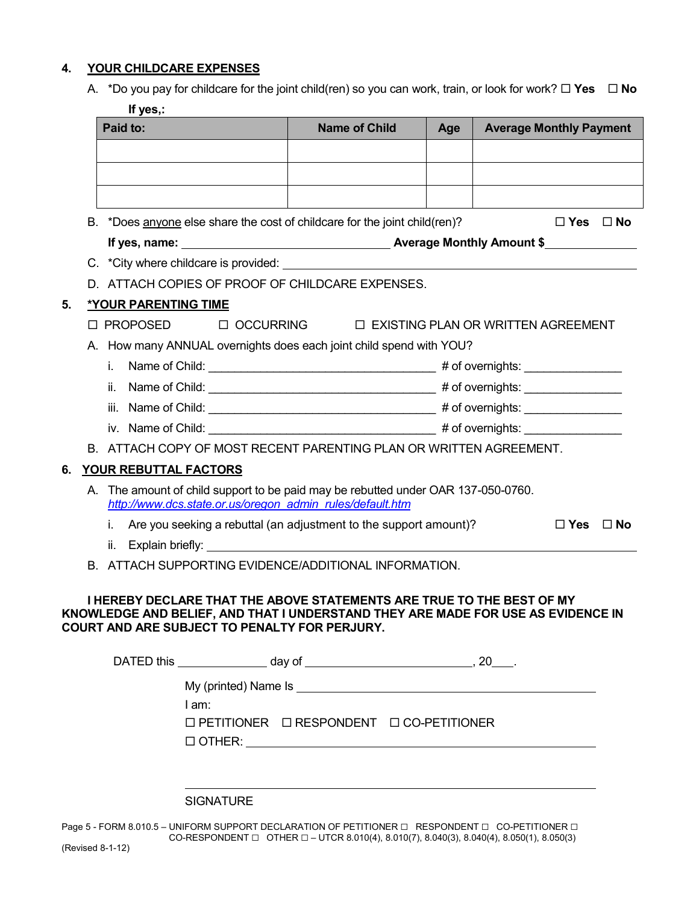### **4. YOUR CHILDCARE EXPENSES**

| A. *Do you pay for childcare for the joint child(ren) so you can work, train, or look for work? $\Box$ Yes $\Box$ No |  |
|----------------------------------------------------------------------------------------------------------------------|--|
| If yes.:                                                                                                             |  |

|    | <b>,</b><br>Paid to:        |                                               | <b>Name of Child</b>                                                              | Age | <b>Average Monthly Payment</b> |           |
|----|-----------------------------|-----------------------------------------------|-----------------------------------------------------------------------------------|-----|--------------------------------|-----------|
|    |                             |                                               |                                                                                   |     |                                |           |
|    |                             |                                               |                                                                                   |     |                                |           |
|    |                             |                                               |                                                                                   |     |                                |           |
|    |                             |                                               |                                                                                   |     |                                |           |
|    |                             |                                               | B. *Does anyone else share the cost of childcare for the joint child(ren)?        |     | $\square$ Yes $\square$ No     |           |
|    |                             |                                               |                                                                                   |     |                                |           |
|    |                             |                                               |                                                                                   |     |                                |           |
|    |                             |                                               | D. ATTACH COPIES OF PROOF OF CHILDCARE EXPENSES.                                  |     |                                |           |
| 5. | <b>*YOUR PARENTING TIME</b> |                                               |                                                                                   |     |                                |           |
|    |                             |                                               | □ PROPOSED □ OCCURRING □ EXISTING PLAN OR WRITTEN AGREEMENT                       |     |                                |           |
|    |                             |                                               | A. How many ANNUAL overnights does each joint child spend with YOU?               |     |                                |           |
|    | i.                          |                                               |                                                                                   |     |                                |           |
|    |                             |                                               |                                                                                   |     |                                |           |
|    |                             |                                               |                                                                                   |     |                                |           |
|    |                             |                                               |                                                                                   |     |                                |           |
|    |                             |                                               | B. ATTACH COPY OF MOST RECENT PARENTING PLAN OR WRITTEN AGREEMENT.                |     |                                |           |
| 6. | YOUR REBUTTAL FACTORS       |                                               |                                                                                   |     |                                |           |
|    |                             |                                               | A. The amount of child support to be paid may be rebutted under OAR 137-050-0760. |     |                                |           |
|    |                             |                                               | http://www.dcs.state.or.us/oregon admin rules/default.htm                         |     |                                |           |
|    | i.                          |                                               | Are you seeking a rebuttal (an adjustment to the support amount)?                 |     | $\square$ Yes                  | $\Box$ No |
|    |                             |                                               |                                                                                   |     |                                |           |
|    |                             |                                               | B. ATTACH SUPPORTING EVIDENCE/ADDITIONAL INFORMATION.                             |     |                                |           |
|    |                             |                                               | <b>I HEREBY DECLARE THAT THE ABOVE STATEMENTS ARE TRUE TO THE BEST OF MY</b>      |     |                                |           |
|    |                             |                                               | KNOWLEDGE AND BELIEF, AND THAT I UNDERSTAND THEY ARE MADE FOR USE AS EVIDENCE IN  |     |                                |           |
|    |                             | COURT AND ARE SUBJECT TO PENALTY FOR PERJURY. |                                                                                   |     |                                |           |
|    |                             |                                               |                                                                                   |     |                                |           |
|    |                             |                                               |                                                                                   |     |                                |           |
|    |                             | I am:                                         |                                                                                   |     |                                |           |
|    |                             |                                               | $\Box$ PETITIONER $\Box$ RESPONDENT $\Box$ CO-PETITIONER                          |     |                                |           |
|    |                             |                                               |                                                                                   |     |                                |           |
|    |                             |                                               |                                                                                   |     |                                |           |
|    |                             |                                               |                                                                                   |     |                                |           |
|    |                             | <b>SIGNATURE</b>                              |                                                                                   |     |                                |           |
|    |                             |                                               |                                                                                   |     |                                |           |

Page 5 - FORM 8.010.5 – UNIFORM SUPPORT DECLARATION OF PETITIONER  $\Box$  RESPONDENT  $\Box$  CO-PETITIONER  $\Box$ CO-RESPONDENT  $\square$  OTHER  $\square$  – UTCR 8.010(4), 8.010(7), 8.040(3), 8.040(4), 8.050(1), 8.050(3)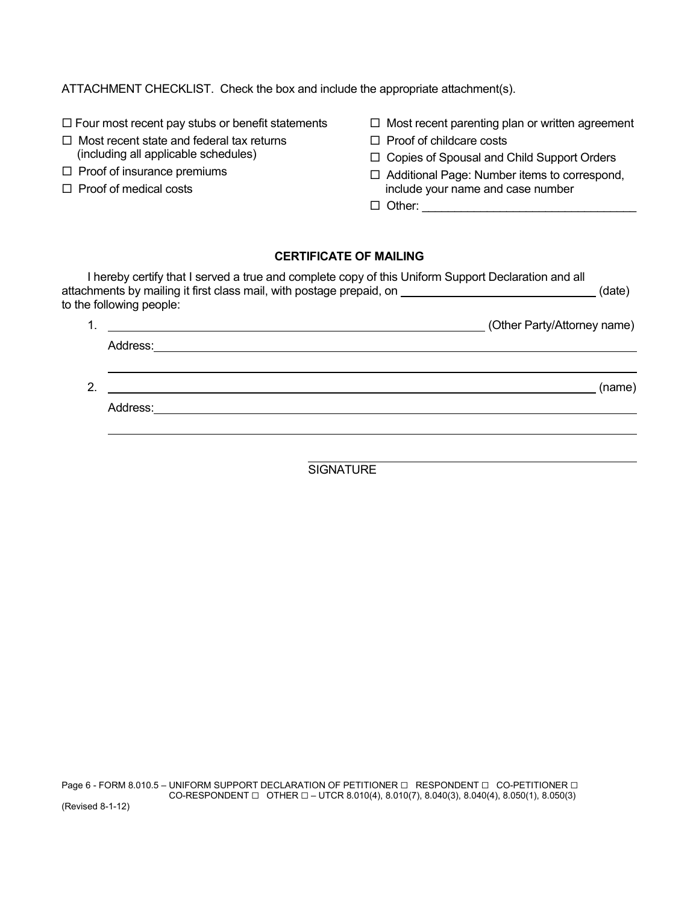ATTACHMENT CHECKLIST. Check the box and include the appropriate attachment(s).

 $\Box$  Four most recent pay stubs or benefit statements

- $\Box$  Most recent state and federal tax returns (including all applicable schedules)
- $\Box$  Proof of insurance premiums
- $\Box$  Proof of medical costs
- $\Box$  Most recent parenting plan or written agreement
- $\Box$  Proof of childcare costs
- □ Copies of Spousal and Child Support Orders
- □ Additional Page: Number items to correspond, include your name and case number
- $\Box$  Other:

# **CERTIFICATE OF MAILING**

|    | I hereby certify that I served a true and complete copy of this Uniform Support Declaration and all<br>attachments by mailing it first class mail, with postage prepaid, on ______________________________(date)<br>to the following people: |                             |
|----|----------------------------------------------------------------------------------------------------------------------------------------------------------------------------------------------------------------------------------------------|-----------------------------|
|    |                                                                                                                                                                                                                                              | (Other Party/Attorney name) |
|    |                                                                                                                                                                                                                                              |                             |
| 2. |                                                                                                                                                                                                                                              | (name)                      |
|    | Address: _______________________                                                                                                                                                                                                             |                             |
|    |                                                                                                                                                                                                                                              |                             |

**SIGNATURE**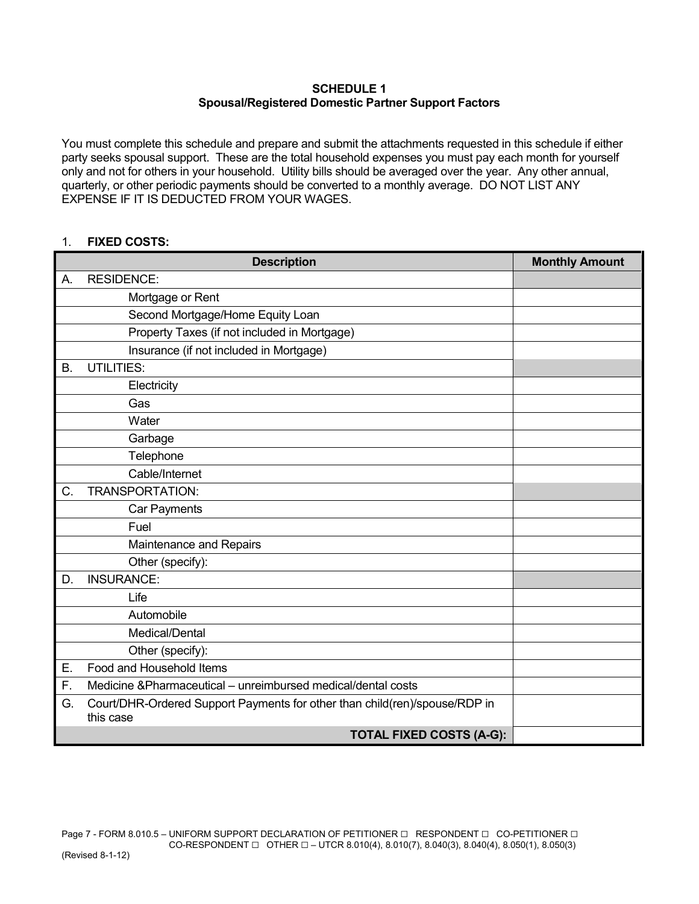#### **SCHEDULE 1 Spousal/Registered Domestic Partner Support Factors**

You must complete this schedule and prepare and submit the attachments requested in this schedule if either party seeks spousal support. These are the total household expenses you must pay each month for yourself only and not for others in your household. Utility bills should be averaged over the year. Any other annual, quarterly, or other periodic payments should be converted to a monthly average. DO NOT LIST ANY EXPENSE IF IT IS DEDUCTED FROM YOUR WAGES.

### 1. **FIXED COSTS:**

|           | <b>Description</b>                                                                      | <b>Monthly Amount</b> |
|-----------|-----------------------------------------------------------------------------------------|-----------------------|
| Α.        | <b>RESIDENCE:</b>                                                                       |                       |
|           | Mortgage or Rent                                                                        |                       |
|           | Second Mortgage/Home Equity Loan                                                        |                       |
|           | Property Taxes (if not included in Mortgage)                                            |                       |
|           | Insurance (if not included in Mortgage)                                                 |                       |
| <b>B.</b> | <b>UTILITIES:</b>                                                                       |                       |
|           | Electricity                                                                             |                       |
|           | Gas                                                                                     |                       |
|           | Water                                                                                   |                       |
|           | Garbage                                                                                 |                       |
|           | Telephone                                                                               |                       |
|           | Cable/Internet                                                                          |                       |
| C.        | TRANSPORTATION:                                                                         |                       |
|           | Car Payments                                                                            |                       |
|           | Fuel                                                                                    |                       |
|           | Maintenance and Repairs                                                                 |                       |
|           | Other (specify):                                                                        |                       |
| D.        | <b>INSURANCE:</b>                                                                       |                       |
|           | Life                                                                                    |                       |
|           | Automobile                                                                              |                       |
|           | Medical/Dental                                                                          |                       |
|           | Other (specify):                                                                        |                       |
| Е.        | Food and Household Items                                                                |                       |
| F.        | Medicine &Pharmaceutical - unreimbursed medical/dental costs                            |                       |
| G.        | Court/DHR-Ordered Support Payments for other than child(ren)/spouse/RDP in<br>this case |                       |
|           | <b>TOTAL FIXED COSTS (A-G):</b>                                                         |                       |

Page 7 - FORM 8.010.5 – UNIFORM SUPPORT DECLARATION OF PETITIONER  $\Box$  RESPONDENT  $\Box$  CO-PETITIONER  $\Box$ CO-RESPONDENT  $\square$  OTHER  $\square$  – UTCR 8.010(4), 8.010(7), 8.040(3), 8.040(4), 8.050(1), 8.050(3)